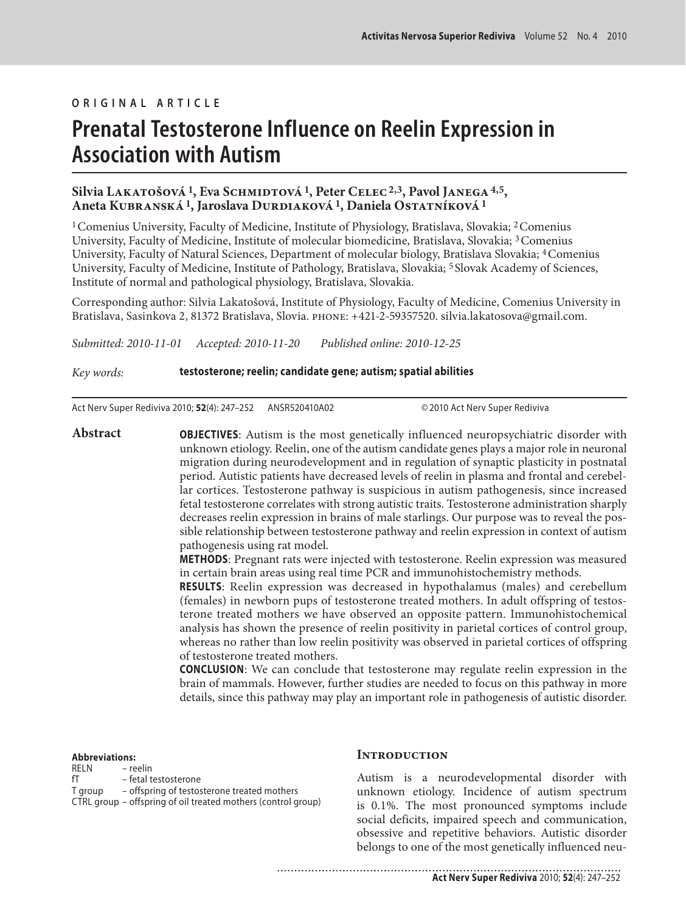### **ORIGINAL ARTICLE**

# **Prenatal Testosterone Influence on Reelin Expression in Association with Autism**

## **Silvia Lakatošová 1, Eva Schmidtová 1, Peter Celec 2,3, Pavol Janega 4,5, Aneta Kubranská 1, Jaroslava Durdiaková 1, Daniela Ostatníková 1**

1 Comenius University, Faculty of Medicine, Institute of Physiology, Bratislava, Slovakia; 2 Comenius University, Faculty of Medicine, Institute of molecular biomedicine, Bratislava, Slovakia; 3 Comenius University, Faculty of Natural Sciences, Department of molecular biology, Bratislava Slovakia; 4 Comenius University, Faculty of Medicine, Institute of Pathology, Bratislava, Slovakia; 5 Slovak Academy of Sciences, Institute of normal and pathological physiology, Bratislava, Slovakia.

Corresponding author: Silvia Lakatošová, Institute of Physiology, Faculty of Medicine, Comenius University in Bratislava, Sasinkova 2, 81372 Bratislava, Slovia. phone: +421-2-59357520. silvia.lakatosova@gmail.com.

*Submitted: 2010-11-01 Accepted: 2010-11-20 Published online: 2010-12-25*

*Key words:* **testosterone; reelin; candidate gene; autism; spatial abilities** 

Act Nerv Super Rediviva 2010; **52**(4): 247–252 ANSR520410A02 © 2010 Act Nerv Super Rediviva

**Abstract OBJECTIVES**: Autism is the most genetically influenced neuropsychiatric disorder with unknown etiology. Reelin, one of the autism candidate genes plays a major role in neuronal migration during neurodevelopment and in regulation of synaptic plasticity in postnatal period. Autistic patients have decreased levels of reelin in plasma and frontal and cerebellar cortices. Testosterone pathway is suspicious in autism pathogenesis, since increased fetal testosterone correlates with strong autistic traits. Testosterone administration sharply decreases reelin expression in brains of male starlings. Our purpose was to reveal the possible relationship between testosterone pathway and reelin expression in context of autism pathogenesis using rat model.

> **METHODS**: Pregnant rats were injected with testosterone. Reelin expression was measured in certain brain areas using real time PCR and immunohistochemistry methods.

> **RESULTS**: Reelin expression was decreased in hypothalamus (males) and cerebellum (females) in newborn pups of testosterone treated mothers. In adult offspring of testosterone treated mothers we have observed an opposite pattern. Immunohistochemical analysis has shown the presence of reelin positivity in parietal cortices of control group, whereas no rather than low reelin positivity was observed in parietal cortices of offspring of testosterone treated mothers.

> **CONCLUSION**: We can conclude that testosterone may regulate reelin expression in the brain of mammals. However, further studies are needed to focus on this pathway in more details, since this pathway may play an important role in pathogenesis of autistic disorder.

**Abbreviations:** 

| RELN    | – reelin                                                      |
|---------|---------------------------------------------------------------|
| fT      | – fetal testosterone                                          |
| T aroup | - offspring of testosterone treated mothers                   |
|         | CTRL group – offspring of oil treated mothers (control group) |

#### **Introduction**

Autism is a neurodevelopmental disorder with unknown etiology. Incidence of autism spectrum is 0.1%. The most pronounced symptoms include social deficits, impaired speech and communication, obsessive and repetitive behaviors. Autistic disorder belongs to one of the most genetically influenced neu-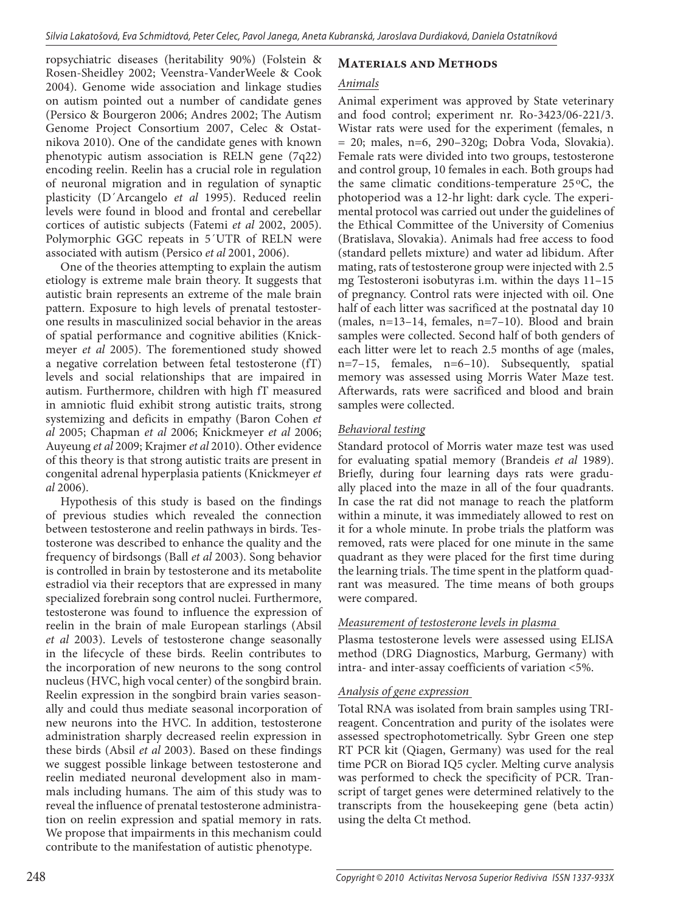ropsychiatric diseases (heritability 90%) (Folstein & Rosen-Sheidley 2002; Veenstra-VanderWeele & Cook 2004). Genome wide association and linkage studies on autism pointed out a number of candidate genes (Persico & Bourgeron 2006; Andres 2002; The Autism Genome Project Consortium 2007, Celec & Ostatnikova 2010). One of the candidate genes with known phenotypic autism association is RELN gene (7q22) encoding reelin. Reelin has a crucial role in regulation of neuronal migration and in regulation of synaptic plasticity (D´Arcangelo *et al* 1995). Reduced reelin levels were found in blood and frontal and cerebellar cortices of autistic subjects (Fatemi *et al* 2002, 2005). Polymorphic GGC repeats in 5´UTR of RELN were associated with autism (Persico *et al* 2001, 2006).

One of the theories attempting to explain the autism etiology is extreme male brain theory. It suggests that autistic brain represents an extreme of the male brain pattern. Exposure to high levels of prenatal testosterone results in masculinized social behavior in the areas of spatial performance and cognitive abilities (Knickmeyer *et al* 2005). The forementioned study showed a negative correlation between fetal testosterone (fT) levels and social relationships that are impaired in autism. Furthermore, children with high fT measured in amniotic fluid exhibit strong autistic traits, strong systemizing and deficits in empathy (Baron Cohen *et al* 2005; Chapman *et al* 2006; Knickmeyer *et al* 2006; Auyeung *et al* 2009; Krajmer *et al* 2010). Other evidence of this theory is that strong autistic traits are present in congenital adrenal hyperplasia patients (Knickmeyer *et al* 2006).

Hypothesis of this study is based on the findings of previous studies which revealed the connection between testosterone and reelin pathways in birds. Testosterone was described to enhance the quality and the frequency of birdsongs (Ball *et al* 2003). Song behavior is controlled in brain by testosterone and its metabolite estradiol via their receptors that are expressed in many specialized forebrain song control nuclei. Furthermore, testosterone was found to influence the expression of reelin in the brain of male European starlings (Absil *et al* 2003). Levels of testosterone change seasonally in the lifecycle of these birds. Reelin contributes to the incorporation of new neurons to the song control nucleus (HVC, high vocal center) of the songbird brain. Reelin expression in the songbird brain varies seasonally and could thus mediate seasonal incorporation of new neurons into the HVC. In addition, testosterone administration sharply decreased reelin expression in these birds (Absil *et al* 2003). Based on these findings we suggest possible linkage between testosterone and reelin mediated neuronal development also in mammals including humans. The aim of this study was to reveal the influence of prenatal testosterone administration on reelin expression and spatial memory in rats. We propose that impairments in this mechanism could contribute to the manifestation of autistic phenotype.

## **Materials and Methods**

## *Animals*

Animal experiment was approved by State veterinary and food control; experiment nr. Ro-3423/06-221/3. Wistar rats were used for the experiment (females, n = 20; males, n=6, 290–320g; Dobra Voda, Slovakia). Female rats were divided into two groups, testosterone and control group, 10 females in each. Both groups had the same climatic conditions-temperature 25 oC, the photoperiod was a 12-hr light: dark cycle. The experimental protocol was carried out under the guidelines of the Ethical Committee of the University of Comenius (Bratislava, Slovakia). Animals had free access to food (standard pellets mixture) and water ad libidum. After mating, rats of testosterone group were injected with 2.5 mg Testosteroni isobutyras i.m. within the days 11–15 of pregnancy. Control rats were injected with oil. One half of each litter was sacrificed at the postnatal day 10 (males, n=13–14, females, n=7–10). Blood and brain samples were collected. Second half of both genders of each litter were let to reach 2.5 months of age (males, n=7–15, females, n=6–10). Subsequently, spatial memory was assessed using Morris Water Maze test. Afterwards, rats were sacrificed and blood and brain samples were collected.

## *Behavioral testing*

Standard protocol of Morris water maze test was used for evaluating spatial memory (Brandeis *et al* 1989). Briefly, during four learning days rats were gradually placed into the maze in all of the four quadrants. In case the rat did not manage to reach the platform within a minute, it was immediately allowed to rest on it for a whole minute. In probe trials the platform was removed, rats were placed for one minute in the same quadrant as they were placed for the first time during the learning trials. The time spent in the platform quadrant was measured. The time means of both groups were compared.

## *Measurement of testosterone levels in plasma*

Plasma testosterone levels were assessed using ELISA method (DRG Diagnostics, Marburg, Germany) with intra- and inter-assay coefficients of variation <5%.

## *Analysis of gene expression*

Total RNA was isolated from brain samples using TRIreagent. Concentration and purity of the isolates were assessed spectrophotometrically. Sybr Green one step RT PCR kit (Qiagen, Germany) was used for the real time PCR on Biorad IQ5 cycler. Melting curve analysis was performed to check the specificity of PCR. Transcript of target genes were determined relatively to the transcripts from the housekeeping gene (beta actin) using the delta Ct method.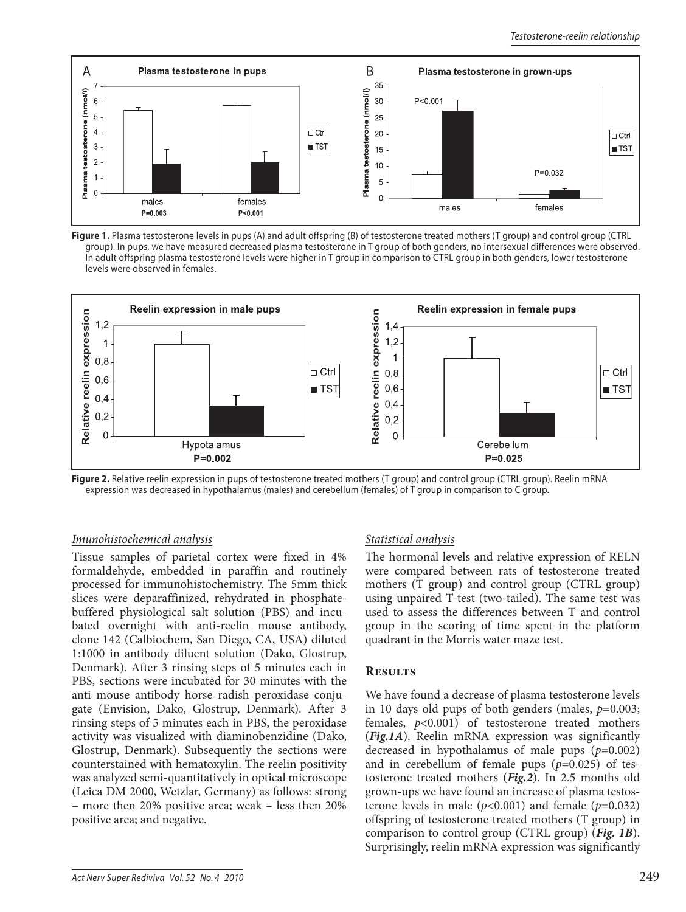

**Figure 1.** Plasma testosterone levels in pups (A) and adult offspring (B) of testosterone treated mothers (T group) and control group (CTRL group). In pups, we have measured decreased plasma testosterone in T group of both genders, no intersexual differences were observed. In adult offspring plasma testosterone levels were higher in T group in comparison to CTRL group in both genders, lower testosterone levels were observed in females.



**Figure 2.** Relative reelin expression in pups of testosterone treated mothers (T group) and control group (CTRL group). Reelin mRNA expression was decreased in hypothalamus (males) and cerebellum (females) of T group in comparison to C group.

#### *Imunohistochemical analysis*

Tissue samples of parietal cortex were fixed in 4% formaldehyde, embedded in paraffin and routinely processed for immunohistochemistry. The 5mm thick slices were deparaffinized, rehydrated in phosphatebuffered physiological salt solution (PBS) and incubated overnight with anti-reelin mouse antibody, clone 142 (Calbiochem, San Diego, CA, USA) diluted 1:1000 in antibody diluent solution (Dako, Glostrup, Denmark). After 3 rinsing steps of 5 minutes each in PBS, sections were incubated for 30 minutes with the anti mouse antibody horse radish peroxidase conjugate (Envision, Dako, Glostrup, Denmark). After 3 rinsing steps of 5 minutes each in PBS, the peroxidase activity was visualized with diaminobenzidine (Dako, Glostrup, Denmark). Subsequently the sections were counterstained with hematoxylin. The reelin positivity was analyzed semi-quantitatively in optical microscope (Leica DM 2000, Wetzlar, Germany) as follows: strong – more then 20% positive area; weak – less then 20% positive area; and negative.

### *Statistical analysis*

The hormonal levels and relative expression of RELN were compared between rats of testosterone treated mothers (T group) and control group (CTRL group) using unpaired T-test (two-tailed). The same test was used to assess the differences between T and control group in the scoring of time spent in the platform quadrant in the Morris water maze test.

### **Results**

We have found a decrease of plasma testosterone levels in 10 days old pups of both genders (males, *p*=0.003; females, *p*<0.001) of testosterone treated mothers (*Fig.1A*). Reelin mRNA expression was significantly decreased in hypothalamus of male pups (*p*=0.002) and in cerebellum of female pups (*p*=0.025) of testosterone treated mothers (*Fig.2*). In 2.5 months old grown-ups we have found an increase of plasma testosterone levels in male  $(p<0.001)$  and female  $(p=0.032)$ offspring of testosterone treated mothers (T group) in comparison to control group (CTRL group) (*Fig. 1B*). Surprisingly, reelin mRNA expression was significantly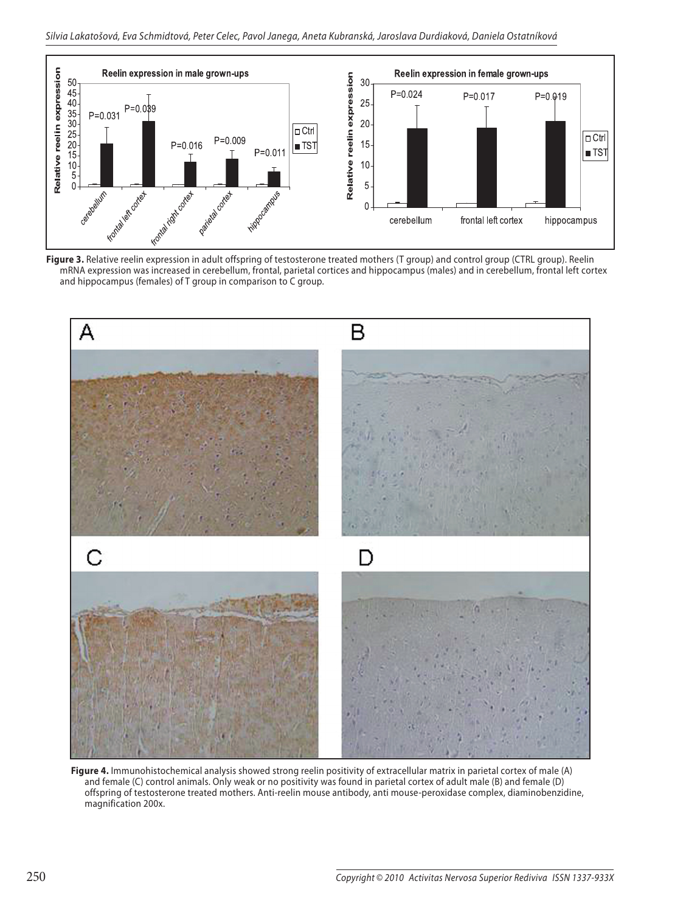

**Figure 3.** Relative reelin expression in adult offspring of testosterone treated mothers (T group) and control group (CTRL group). Reelin mRNA expression was increased in cerebellum, frontal, parietal cortices and hippocampus (males) and in cerebellum, frontal left cortex and hippocampus (females) of T group in comparison to C group.



**Figure 4.** Immunohistochemical analysis showed strong reelin positivity of extracellular matrix in parietal cortex of male (A) and female (C) control animals. Only weak or no positivity was found in parietal cortex of adult male (B) and female (D) offspring of testosterone treated mothers. Anti-reelin mouse antibody, anti mouse-peroxidase complex, diaminobenzidine, magnification 200x.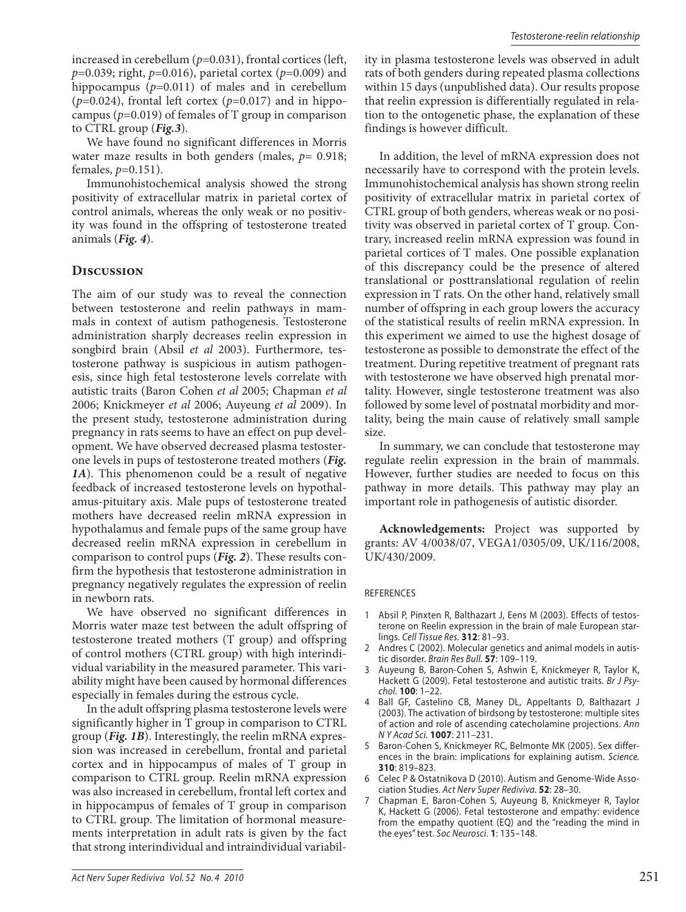increased in cerebellum (*p*=0.031), frontal cortices (left, *p*=0.039; right, *p*=0.016), parietal cortex (*p*=0.009) and hippocampus ( $p=0.011$ ) of males and in cerebellum ( $p=0.024$ ), frontal left cortex ( $p=0.017$ ) and in hippocampus ( $p=0.019$ ) of females of T group in comparison to CTRL group (*Fig.3*).

We have found no significant differences in Morris water maze results in both genders (males,  $p= 0.918$ ; females, *p*=0.151).

Immunohistochemical analysis showed the strong positivity of extracellular matrix in parietal cortex of control animals, whereas the only weak or no positivity was found in the offspring of testosterone treated animals (*Fig. 4*).

#### **Discussion**

The aim of our study was to reveal the connection between testosterone and reelin pathways in mammals in context of autism pathogenesis. Testosterone administration sharply decreases reelin expression in songbird brain (Absil *et al* 2003). Furthermore, testosterone pathway is suspicious in autism pathogenesis, since high fetal testosterone levels correlate with autistic traits (Baron Cohen *et al* 2005; Chapman *et al*  2006; Knickmeyer *et al* 2006; Auyeung *et al* 2009). In the present study, testosterone administration during pregnancy in rats seems to have an effect on pup development. We have observed decreased plasma testosterone levels in pups of testosterone treated mothers (*Fig. 1A*). This phenomenon could be a result of negative feedback of increased testosterone levels on hypothalamus-pituitary axis. Male pups of testosterone treated mothers have decreased reelin mRNA expression in hypothalamus and female pups of the same group have decreased reelin mRNA expression in cerebellum in comparison to control pups (*Fig. 2*). These results confirm the hypothesis that testosterone administration in pregnancy negatively regulates the expression of reelin in newborn rats.

We have observed no significant differences in Morris water maze test between the adult offspring of testosterone treated mothers (T group) and offspring of control mothers (CTRL group) with high interindividual variability in the measured parameter. This variability might have been caused by hormonal differences especially in females during the estrous cycle.

In the adult offspring plasma testosterone levels were significantly higher in T group in comparison to CTRL group (*Fig. 1B*). Interestingly, the reelin mRNA expression was increased in cerebellum, frontal and parietal cortex and in hippocampus of males of T group in comparison to CTRL group. Reelin mRNA expression was also increased in cerebellum, frontal left cortex and in hippocampus of females of T group in comparison to CTRL group. The limitation of hormonal measurements interpretation in adult rats is given by the fact that strong interindividual and intraindividual variability in plasma testosterone levels was observed in adult rats of both genders during repeated plasma collections within 15 days (unpublished data). Our results propose that reelin expression is differentially regulated in relation to the ontogenetic phase, the explanation of these findings is however difficult.

In addition, the level of mRNA expression does not necessarily have to correspond with the protein levels. Immunohistochemical analysis has shown strong reelin positivity of extracellular matrix in parietal cortex of CTRL group of both genders, whereas weak or no positivity was observed in parietal cortex of T group. Contrary, increased reelin mRNA expression was found in parietal cortices of T males. One possible explanation of this discrepancy could be the presence of altered translational or posttranslational regulation of reelin expression in T rats. On the other hand, relatively small number of offspring in each group lowers the accuracy of the statistical results of reelin mRNA expression. In this experiment we aimed to use the highest dosage of testosterone as possible to demonstrate the effect of the treatment. During repetitive treatment of pregnant rats with testosterone we have observed high prenatal mortality. However, single testosterone treatment was also followed by some level of postnatal morbidity and mortality, being the main cause of relatively small sample size.

In summary, we can conclude that testosterone may regulate reelin expression in the brain of mammals. However, further studies are needed to focus on this pathway in more details. This pathway may play an important role in pathogenesis of autistic disorder.

**Acknowledgements:** Project was supported by grants: AV 4/0038/07, VEGA1/0305/09, UK/116/2008, UK/430/2009.

#### REFERENCES

- 1 Absil P, Pinxten R, Balthazart J, Eens M (2003). Effects of testosterone on Reelin expression in the brain of male European starlings. Cell Tissue Res. **312**: 81–93.
- 2 Andres C (2002). Molecular genetics and animal models in autistic disorder. Brain Res Bull. **57**: 109–119.
- 3 Auyeung B, Baron-Cohen S, Ashwin E, Knickmeyer R, Taylor K, Hackett G (2009). Fetal testosterone and autistic traits. Br J Psychol. **100**: 1–22.
- Ball GF, Castelino CB, Maney DL, Appeltants D, Balthazart J (2003). The activation of birdsong by testosterone: multiple sites of action and role of ascending catecholamine projections. Ann N Y Acad Sci. **1007**: 211–231.
- 5 Baron-Cohen S, Knickmeyer RC, Belmonte MK (2005). Sex differences in the brain: implications for explaining autism. Science. **310**: 819–823.
- 6 Celec P & Ostatnikova D (2010). Autism and Genome-Wide Association Studies. Act Nerv Super Rediviva. **52**: 28–30.
- 7 Chapman E, Baron-Cohen S, Auyeung B, Knickmeyer R, Taylor K, Hackett G (2006). Fetal testosterone and empathy: evidence from the empathy quotient (EQ) and the "reading the mind in the eyes" test. Soc Neurosci. **1**: 135–148.